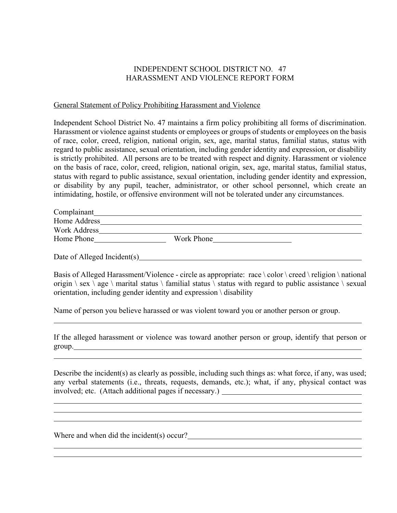## INDEPENDENT SCHOOL DISTRICT NO. 47 HARASSMENT AND VIOLENCE REPORT FORM

## General Statement of Policy Prohibiting Harassment and Violence

Independent School District No. 47 maintains a firm policy prohibiting all forms of discrimination. Harassment or violence against students or employees or groups of students or employees on the basis of race, color, creed, religion, national origin, sex, age, marital status, familial status, status with regard to public assistance, sexual orientation, including gender identity and expression, or disability is strictly prohibited. All persons are to be treated with respect and dignity. Harassment or violence on the basis of race, color, creed, religion, national origin, sex, age, marital status, familial status, status with regard to public assistance, sexual orientation, including gender identity and expression, or disability by any pupil, teacher, administrator, or other school personnel, which create an intimidating, hostile, or offensive environment will not be tolerated under any circumstances.

| Complainant         |            |
|---------------------|------------|
| Home Address        |            |
| <b>Work Address</b> |            |
| Home Phone          | Work Phone |

Date of Alleged Incident(s)

Basis of Alleged Harassment/Violence - circle as appropriate: race \ color \ creed \ religion \ national origin  $\ \$  sex  $\ \$ age  $\ \$  marital status  $\ \$  familial status  $\ \$  status with regard to public assistance  $\ \$  sexual orientation, including gender identity and expression \ disability

Name of person you believe harassed or was violent toward you or another person or group.

If the alleged harassment or violence was toward another person or group, identify that person or group.

Describe the incident(s) as clearly as possible, including such things as: what force, if any, was used; any verbal statements (i.e., threats, requests, demands, etc.); what, if any, physical contact was involved; etc. (Attach additional pages if necessary.)

Where and when did the incident(s) occur?<br>
<u>
</u>